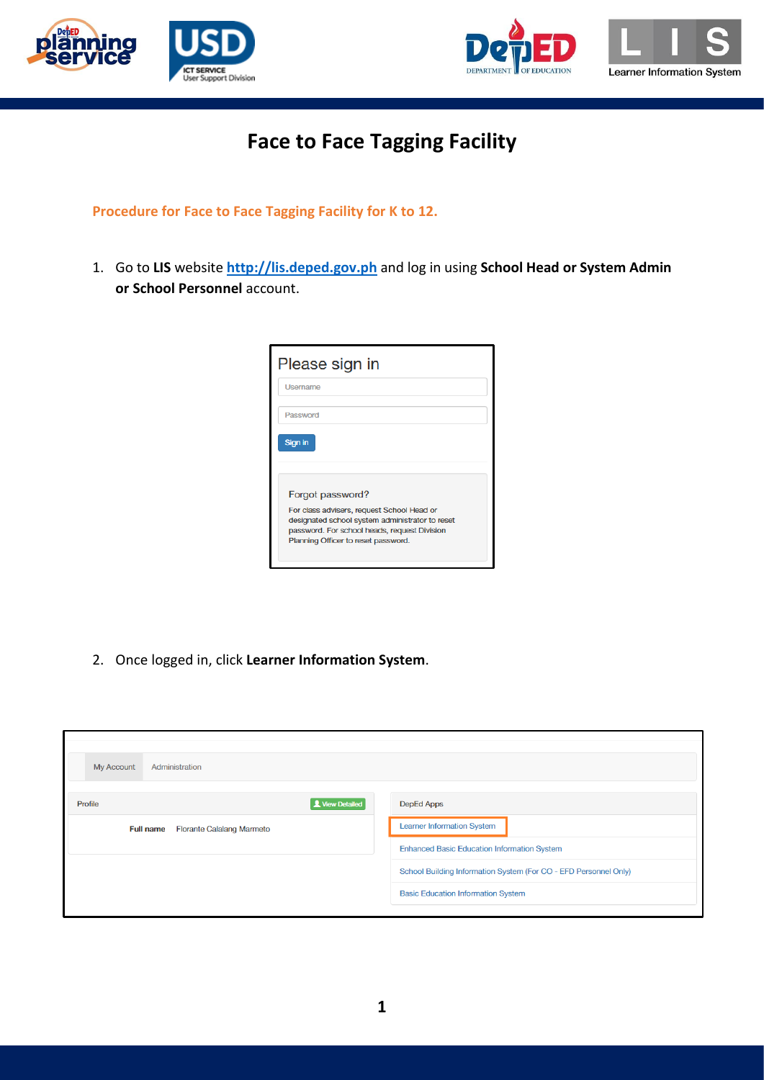



## **Face to Face Tagging Facility**

**Procedure for Face to Face Tagging Facility for K to 12.**

1. Go to **LIS** website **[http://lis.deped.gov.ph](http://lis.deped.gov.ph/)** and log in using **School Head or System Admin or School Personnel** account.

| Please sign in                                                                                                                                |  |
|-----------------------------------------------------------------------------------------------------------------------------------------------|--|
| Username                                                                                                                                      |  |
| Password                                                                                                                                      |  |
| Sign in                                                                                                                                       |  |
|                                                                                                                                               |  |
| Forgot password?                                                                                                                              |  |
| For class advisers, request School Head or<br>designated school system administrator to reset<br>password. For school heads, request Division |  |
| Planning Officer to reset password.                                                                                                           |  |

2. Once logged in, click **Learner Information System**.

| Administration<br><b>My Account</b>                  |                                                                  |
|------------------------------------------------------|------------------------------------------------------------------|
| View Detailed<br>Profile                             | DepEd Apps                                                       |
| <b>Florante Calalang Marmeto</b><br><b>Full name</b> | <b>Learner Information System</b>                                |
|                                                      | <b>Enhanced Basic Education Information System</b>               |
|                                                      | School Building Information System (For CO - EFD Personnel Only) |
|                                                      | <b>Basic Education Information System</b>                        |
|                                                      |                                                                  |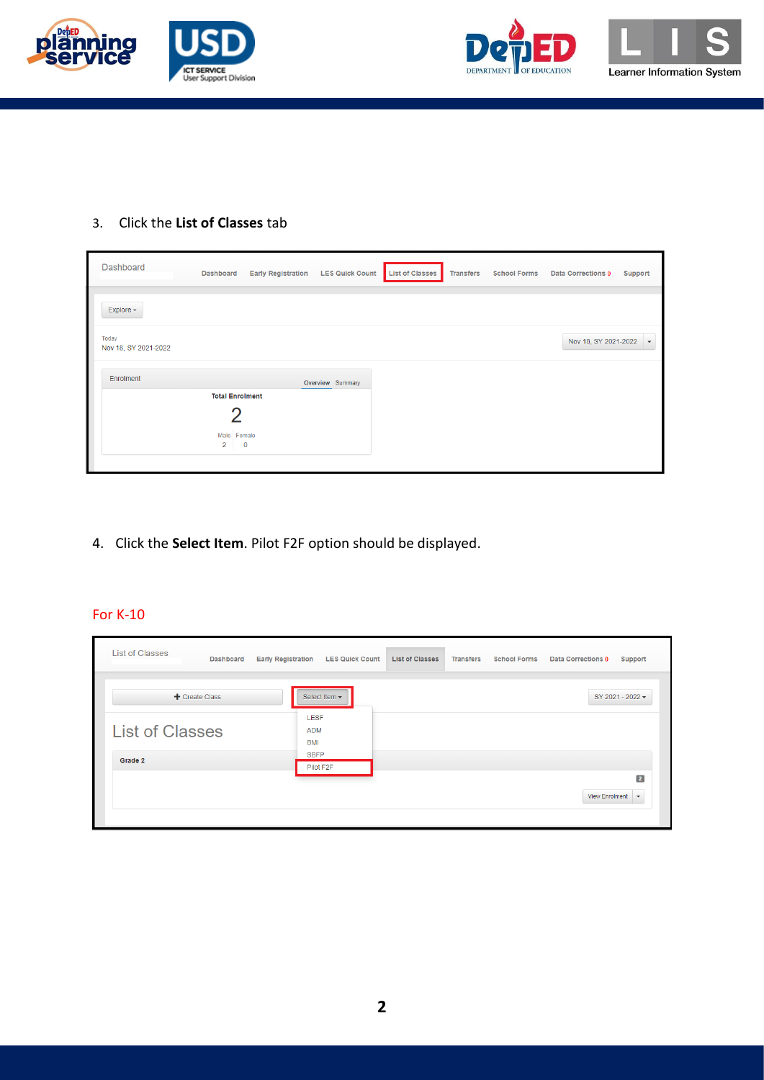



## 3. Click the **List of Classes** tab

| Dashboard            | <b>Dashboard</b>       | <b>Early Registration</b> | <b>LES Quick Count</b> | <b>List of Classes</b> | <b>Transfers</b> | <b>School Forms</b> | <b>Data Corrections 0</b> | Support |
|----------------------|------------------------|---------------------------|------------------------|------------------------|------------------|---------------------|---------------------------|---------|
|                      |                        |                           |                        |                        |                  |                     |                           |         |
| Explore -            |                        |                           |                        |                        |                  |                     |                           |         |
| Today                |                        |                           |                        |                        |                  |                     | Nov 18, SY 2021-2022 -    |         |
| Nov 18, SY 2021-2022 |                        |                           |                        |                        |                  |                     |                           |         |
| Enrolment            |                        |                           |                        |                        |                  |                     |                           |         |
|                      |                        |                           | Overview Summary       |                        |                  |                     |                           |         |
|                      | <b>Total Enrolment</b> |                           |                        |                        |                  |                     |                           |         |
|                      |                        |                           |                        |                        |                  |                     |                           |         |
|                      |                        |                           |                        |                        |                  |                     |                           |         |
|                      | Male Female            |                           |                        |                        |                  |                     |                           |         |
|                      | $\overline{2}$         | $\overline{\mathbf{0}}$   |                        |                        |                  |                     |                           |         |
|                      |                        |                           |                        |                        |                  |                     |                           |         |
|                      |                        |                           |                        |                        |                  |                     |                           |         |

4. Click the **Select Item**. Pilot F2F option should be displayed.

## For K-10

| <b>List of Classes</b><br><b>Dashboard</b> | <b>Early Registration</b><br><b>LES Quick Count</b> | <b>List of Classes</b> | <b>Transfers</b><br><b>School Forms</b> | <b>Data Corrections 0</b><br>Support |
|--------------------------------------------|-----------------------------------------------------|------------------------|-----------------------------------------|--------------------------------------|
| + Create Class                             | Select Item -                                       |                        |                                         | SY 2021 - 2022 -                     |
| <b>List of Classes</b>                     | <b>LESF</b><br><b>ADM</b><br><b>BMI</b>             |                        |                                         |                                      |
| Grade 2                                    | <b>SBFP</b><br>Pilot F2F                            |                        |                                         | $\overline{\mathbf{2}}$              |
|                                            |                                                     |                        |                                         | View Enrolment $\blacktriangleright$ |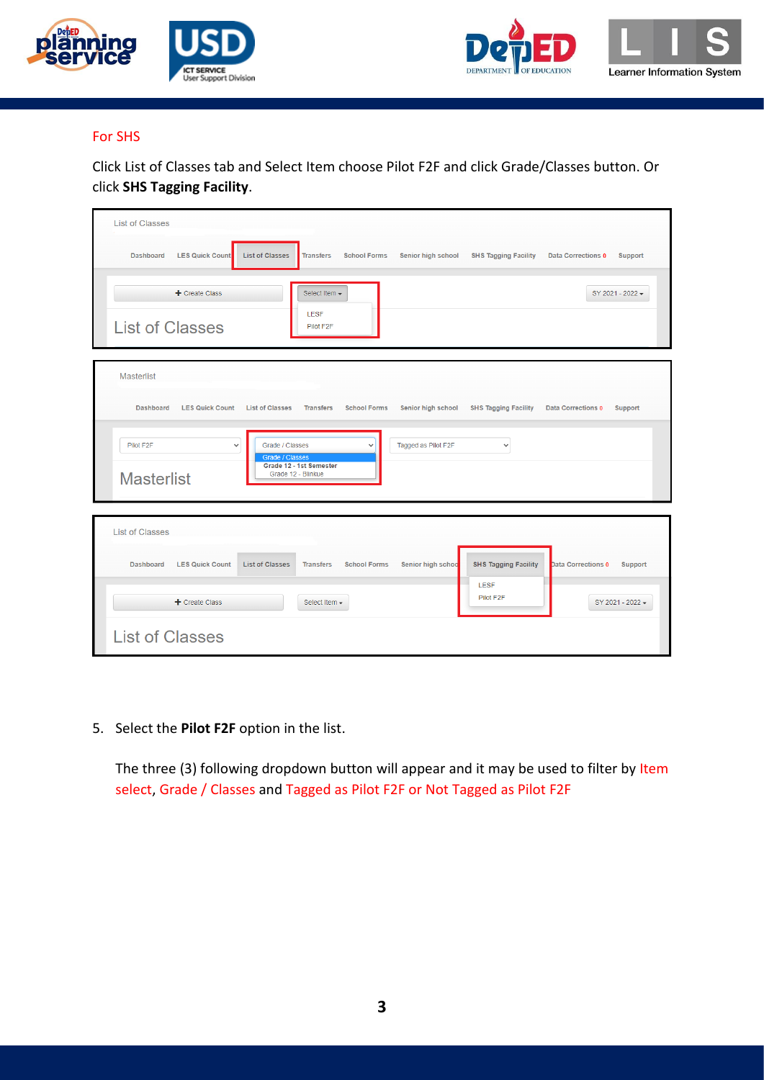





## For SHS

Click List of Classes tab and Select Item choose Pilot F2F and click Grade/Classes button. Or click **SHS Tagging Facility**.

| <b>List of Classes</b>                                                                                                                                                                                       |
|--------------------------------------------------------------------------------------------------------------------------------------------------------------------------------------------------------------|
| <b>LES Quick Count</b><br><b>List of Classes</b><br><b>Dashboard</b><br><b>School Forms</b><br>Senior high school<br><b>SHS Tagging Facility</b><br><b>Transfers</b><br><b>Data Corrections 0</b><br>Support |
| + Create Class<br>Select Item -<br>SY 2021 - 2022 -<br><b>LESF</b><br><b>List of Classes</b><br>Pilot F2F                                                                                                    |
| <b>Masterlist</b>                                                                                                                                                                                            |
| Senior high school<br><b>SHS Tagging Facility</b><br><b>Dashboard</b><br><b>LES Quick Count</b><br><b>List of Classes</b><br><b>Transfers</b><br><b>School Forms</b><br><b>Data Corrections 0</b><br>Support |
| Tagged as Pilot F2F<br>Pilot F2F<br>Grade / Classes<br>$\checkmark$<br>$\checkmark$<br>$\check{ }$<br><b>Grade / Classes</b><br>Grade 12 - 1st Semester<br>Grade 12 - Blinkue<br><b>Masterlist</b>           |
| <b>List of Classes</b>                                                                                                                                                                                       |
| <b>SHS Tagging Facility</b><br><b>LES Quick Count</b><br><b>List of Classes</b><br><b>Transfers</b><br><b>School Forms</b><br>Senior high schoo<br>Data Corrections 0<br><b>Support</b><br><b>Dashboard</b>  |
| LESF<br>Pilot F2F<br>$+$ Create Class<br>SY 2021 - 2022 -<br>Select Item -                                                                                                                                   |
| <b>List of Classes</b>                                                                                                                                                                                       |

5. Select the **Pilot F2F** option in the list.

The three (3) following dropdown button will appear and it may be used to filter by Item select, Grade / Classes and Tagged as Pilot F2F or Not Tagged as Pilot F2F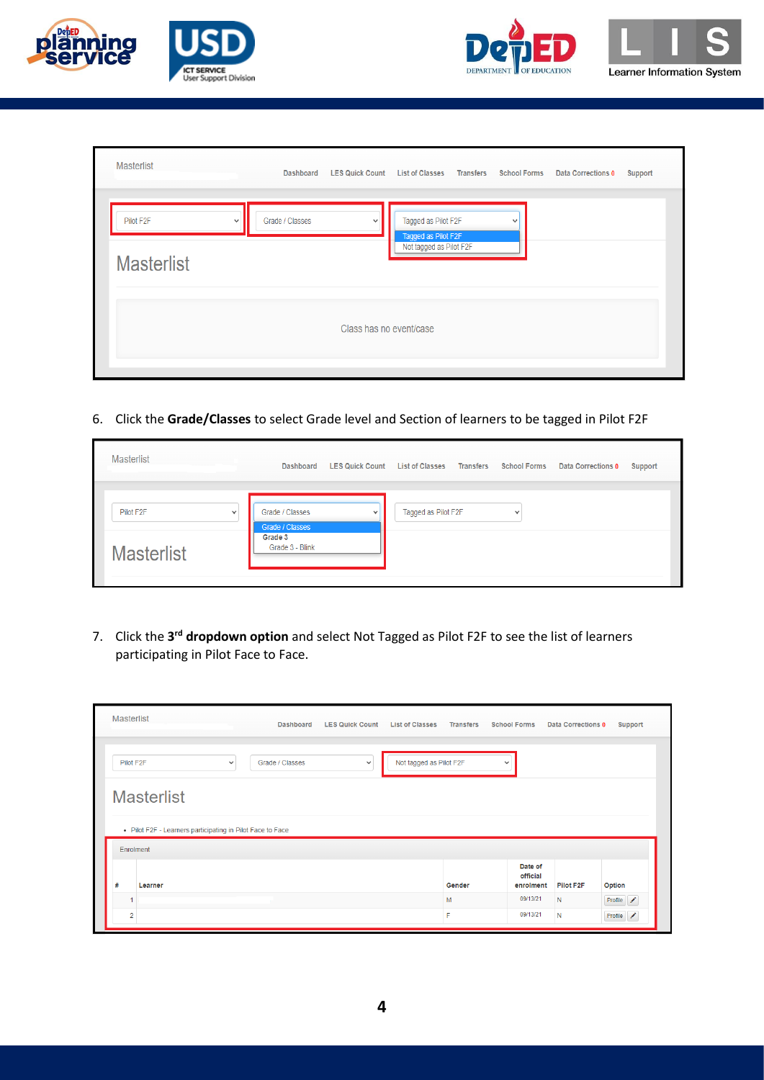





| <b>Masterlist</b>                           |              | <b>Dashboard</b> | <b>LES Quick Count</b>  | <b>List of Classes</b>                                                | <b>Transfers</b> | <b>School Forms</b> | Data Corrections 0 | <b>Support</b> |
|---------------------------------------------|--------------|------------------|-------------------------|-----------------------------------------------------------------------|------------------|---------------------|--------------------|----------------|
| Pilot F <sub>2</sub> F<br><b>Masterlist</b> | $\checkmark$ | Grade / Classes  | $\checkmark$            | Tagged as Pilot F2F<br>Tagged as Pilot F2F<br>Not tagged as Pilot F2F |                  | ٠                   |                    |                |
|                                             |              |                  | Class has no event/case |                                                                       |                  |                     |                    |                |

6. Click the **Grade/Classes** to select Grade level and Section of learners to be tagged in Pilot F2F

| <b>Masterlist</b>                      | <b>Dashboard</b>                   | <b>LES Quick Count List of Classes</b> |                     | Transfers | <b>School Forms</b> | Data Corrections 0 | Support |
|----------------------------------------|------------------------------------|----------------------------------------|---------------------|-----------|---------------------|--------------------|---------|
| Pilot F <sub>2</sub> F<br>$\checkmark$ | Grade / Classes<br>Grade / Classes | $\overline{\phantom{a}}$               | Tagged as Pilot F2F |           | $\checkmark$        |                    |         |
| <b>Masterlist</b>                      | Grade 3<br>Grade 3 - Blink         |                                        |                     |           |                     |                    |         |

7. Click the 3<sup>rd</sup> dropdown option and select Not Tagged as Pilot F2F to see the list of learners participating in Pilot Face to Face.

|   | <b>Masterlist</b>                                                       |              | <b>Dashboard</b> | <b>LES Quick Count</b> | <b>List of Classes</b>  | <b>Transfers</b> | <b>School Forms</b>              | Data Corrections 0     | Support   |
|---|-------------------------------------------------------------------------|--------------|------------------|------------------------|-------------------------|------------------|----------------------------------|------------------------|-----------|
|   | Pilot F2F                                                               | $\checkmark$ | Grade / Classes  | $\checkmark$           | Not tagged as Pilot F2F |                  | $\check{ }$                      |                        |           |
|   | <b>Masterlist</b>                                                       |              |                  |                        |                         |                  |                                  |                        |           |
|   |                                                                         |              |                  |                        |                         |                  |                                  |                        |           |
|   | • Pilot F2F - Learners participating in Pilot Face to Face<br>Enrolment |              |                  |                        |                         |                  |                                  |                        |           |
| # | Learner                                                                 |              |                  |                        |                         | Gender           | Date of<br>official<br>enrolment | Pilot F <sub>2</sub> F | Option    |
|   |                                                                         |              |                  |                        |                         | M                | 09/13/21                         | $\mathsf{N}$           | Profile / |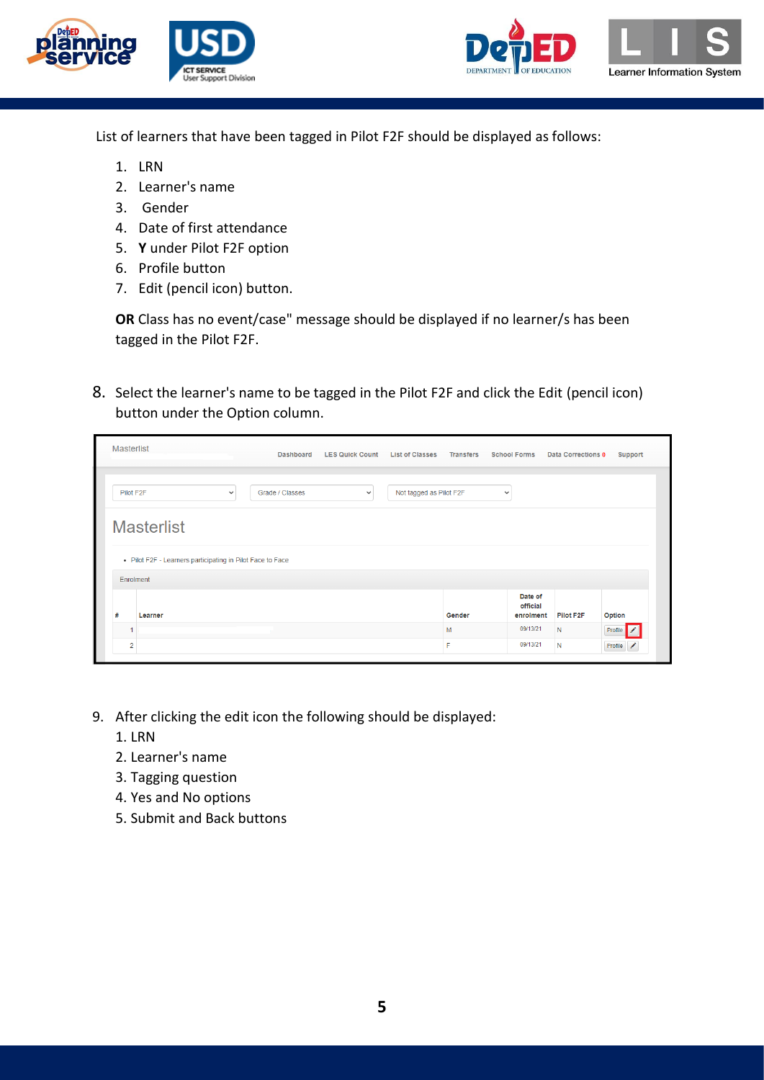



List of learners that have been tagged in Pilot F2F should be displayed as follows:

- 1. LRN
- 2. Learner's name
- 3. Gender
- 4. Date of first attendance
- 5. **Y** under Pilot F2F option
- 6. Profile button
- 7. Edit (pencil icon) button.

**OR** Class has no event/case" message should be displayed if no learner/s has been tagged in the Pilot F2F.

8. Select the learner's name to be tagged in the Pilot F2F and click the Edit (pencil icon) button under the Option column.

|           | <b>Masterlist</b>                                          |              | <b>Dashboard</b> | <b>LES Quick Count</b> | <b>List of Classes</b>  | <b>Transfers</b> | <b>School Forms</b>              | Data Corrections 0     | Support        |
|-----------|------------------------------------------------------------|--------------|------------------|------------------------|-------------------------|------------------|----------------------------------|------------------------|----------------|
| Pilot F2F |                                                            | $\checkmark$ | Grade / Classes  | $\checkmark$           | Not tagged as Pilot F2F |                  | $\checkmark$                     |                        |                |
|           |                                                            |              |                  |                        |                         |                  |                                  |                        |                |
|           | <b>Masterlist</b>                                          |              |                  |                        |                         |                  |                                  |                        |                |
|           | • Pilot F2F - Learners participating in Pilot Face to Face |              |                  |                        |                         |                  |                                  |                        |                |
|           | Enrolment                                                  |              |                  |                        |                         |                  |                                  |                        |                |
| #         | Learner                                                    |              |                  |                        |                         | Gender           | Date of<br>official<br>enrolment | Pilot F <sub>2</sub> F | Option         |
|           |                                                            |              |                  |                        |                         | М                | 09/13/21                         | N                      | <b>Profile</b> |

- 9. After clicking the edit icon the following should be displayed:
	- 1. LRN
	- 2. Learner's name
	- 3. Tagging question
	- 4. Yes and No options
	- 5. Submit and Back buttons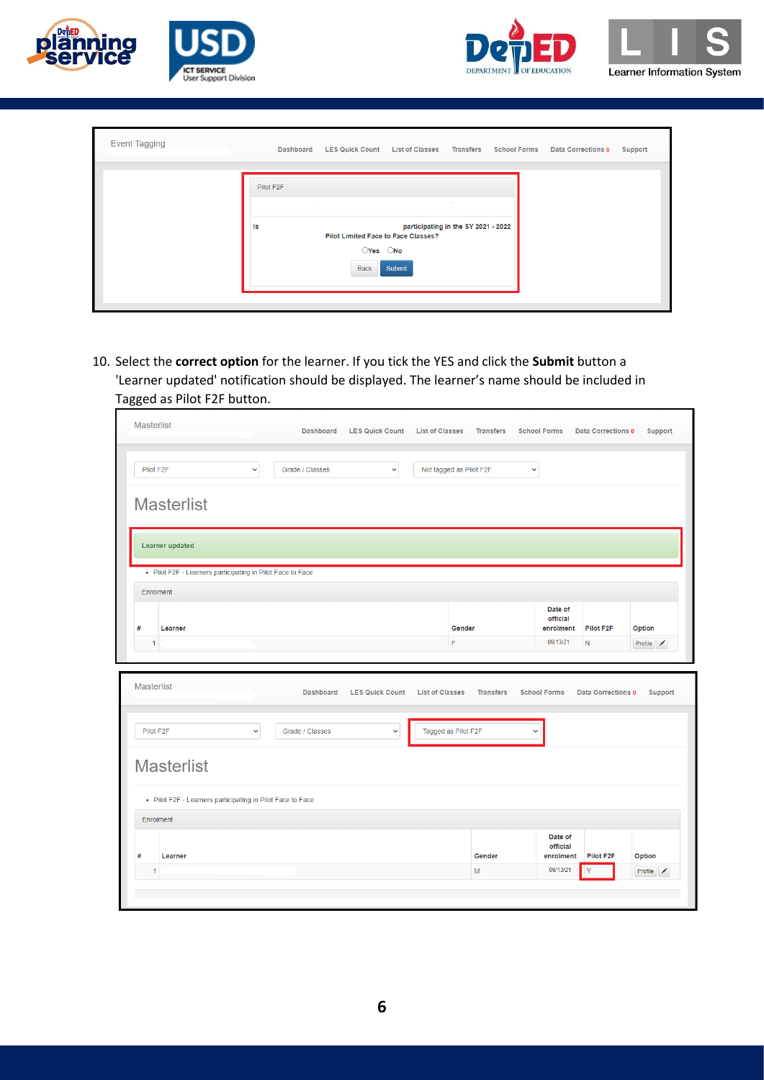





| <b>Event Tagging</b> | <b>Dashboard</b>                     | LES Quick Count List of Classes Transfers                             |                                               |  | School Forms Data Corrections 0 | Support |
|----------------------|--------------------------------------|-----------------------------------------------------------------------|-----------------------------------------------|--|---------------------------------|---------|
|                      | Pilot F2F<br><b>CONTRACTOR</b><br>ls | <b>Pilot Limited Face to Face Classes?</b><br>OYes ONo<br><b>Back</b> | participating in the SY 2021 - 2022<br>Submit |  |                                 |         |

10. Select the **correct option** for the learner. If you tick the YES and click the **Submit** button a 'Learner updated' notification should be displayed. The learner's name should be included in Tagged as Pilot F2F button.

| <b>Masterlist</b>                                          | <b>Dashboard</b>                    | <b>LES Quick Count</b>                 | <b>List of Classes</b>                        | <b>Transfers</b> | <b>School Forms</b>                 | <b>Data Corrections 0</b> | Support   |
|------------------------------------------------------------|-------------------------------------|----------------------------------------|-----------------------------------------------|------------------|-------------------------------------|---------------------------|-----------|
| $\checkmark$<br>Pilot F2F                                  | Grade / Classes                     | $\checkmark$                           | Not tagged as Pilot F2F                       |                  | $\checkmark$                        |                           |           |
| <b>Masterlist</b>                                          |                                     |                                        |                                               |                  |                                     |                           |           |
| <b>Learner updated</b>                                     |                                     |                                        |                                               |                  |                                     |                           |           |
| • Pilot F2F - Learners participating in Pilot Face to Face |                                     |                                        |                                               |                  |                                     |                           |           |
| <b>Enrolment</b>                                           |                                     |                                        |                                               |                  |                                     |                           |           |
| #<br>Learner                                               |                                     |                                        | Gender                                        |                  | Date of<br>official<br>enrolment    | Pilot F2F                 | Option    |
| 1                                                          |                                     |                                        | F                                             |                  | 09/13/21                            | N                         | Profile / |
|                                                            |                                     |                                        |                                               |                  |                                     |                           |           |
| <b>Masterlist</b><br>Pilot F2F<br>$\checkmark$             | <b>Dashboard</b><br>Grade / Classes | <b>LES Quick Count</b><br>$\checkmark$ | <b>List of Classes</b><br>Tagged as Pilot F2F | <b>Transfers</b> | <b>School Forms</b><br>$\checkmark$ | <b>Data Corrections 0</b> | Support   |
| <b>Masterlist</b>                                          |                                     |                                        |                                               |                  |                                     |                           |           |
| • Pilot F2F - Learners participating in Pilot Face to Face |                                     |                                        |                                               |                  |                                     |                           |           |
| Enrolment                                                  |                                     |                                        |                                               |                  |                                     |                           |           |
| #<br>Learner                                               |                                     |                                        |                                               | Gender           | Date of<br>official<br>enrolment    | Pilot F2F                 | Option    |
| $\mathbf{1}$                                               |                                     |                                        |                                               | M                | 09/13/21                            | Ÿ                         | Profile / |